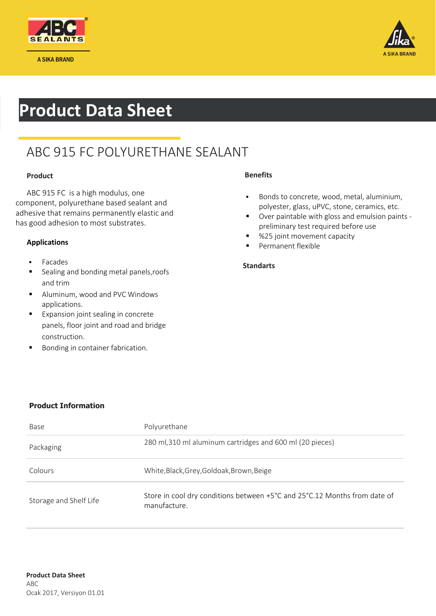

A SIKA BRAND



## **Product Data Sheet**

### ABC 915 FC POLYURETHANE SEALANT

### **Product**

 ABC 915 FC is a high modulus, one component, polyurethane based sealant and adhesive that remains permanently elastic and has good adhesion to most substrates.

### **Applications**

- Facades
- Sealing and bonding metal panels, roofs and trim
- Aluminum, wood and PVC Windows applications.
- Expansion joint sealing in concrete panels, floor joint and road and bridge construction.
- Bonding in container fabrication.

### **Benefits**

- Bonds to concrete, wood, metal, aluminium, polyester, glass, uPVC, stone, ceramics, etc.
- Over paintable with gloss and emulsion paints preliminary test required before use
- %25 joint movement capacity
- Permanent flexible

### **Standarts**

### **Product Information**

| Base                   | Polyurethane                                                                              |
|------------------------|-------------------------------------------------------------------------------------------|
| Packaging              | 280 ml, 310 ml aluminum cartridges and 600 ml (20 pieces)                                 |
| Colours                | White, Black, Grey, Goldoak, Brown, Beige                                                 |
| Storage and Shelf Life | Store in cool dry conditions between +5°C and 25°C.12 Months from date of<br>manufacture. |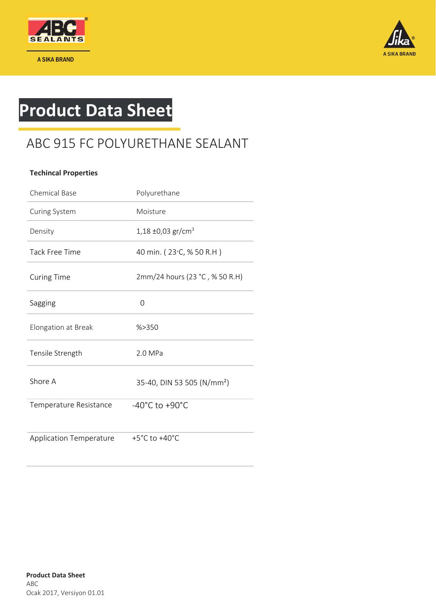

A SIKA BRAND



# **Product Data Sheet**

### ABC 915 FC POLYURETHANE SEALANT

### **Techincal Properties**

| <b>Chemical Base</b>           | Polyurethane                           |
|--------------------------------|----------------------------------------|
| Curing System                  | Moisture                               |
| Density                        | 1,18 ±0,03 gr/cm <sup>3</sup>          |
| <b>Tack Free Time</b>          | 40 min. (23 °C, % 50 R.H)              |
| <b>Curing Time</b>             | 2mm/24 hours (23 °C, % 50 R.H)         |
| Sagging                        | $\Omega$                               |
| Elongation at Break            | % > 350                                |
| Tensile Strength               | 2.0 MPa                                |
| Shore A                        | 35-40, DIN 53 505 (N/mm <sup>2</sup> ) |
| Temperature Resistance         | $-40^{\circ}$ C to $+90^{\circ}$ C     |
| <b>Application Temperature</b> | $+5^{\circ}$ C to $+40^{\circ}$ C      |